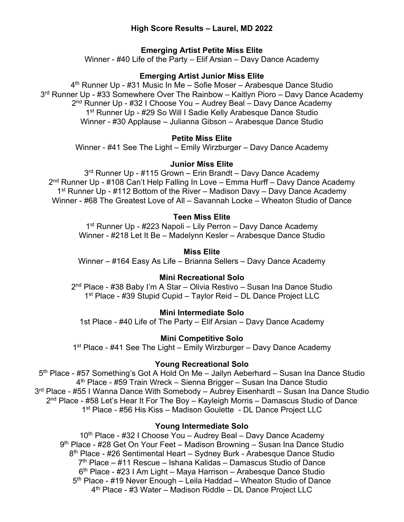# **High Score Results – Laurel, MD 2022**

# **Emerging Artist Petite Miss Elite**

Winner - #40 Life of the Party – Elif Arsian – Davy Dance Academy

# **Emerging Artist Junior Miss Elite**

4<sup>th</sup> Runner Up - #31 Music In Me – Sofie Moser – Arabesque Dance Studio 3<sup>rd</sup> Runner Up - #33 Somewhere Over The Rainbow – Kaitlyn Pioro – Davy Dance Academy 2nd Runner Up - #32 I Choose You – Audrey Beal – Davy Dance Academy 1st Runner Up - #29 So Will I Sadie Kelly Arabesque Dance Studio Winner - #30 Applause – Julianna Gibson – Arabesque Dance Studio

# **Petite Miss Elite**

Winner - #41 See The Light – Emily Wirzburger – Davy Dance Academy

# **Junior Miss Elite**

3<sup>rd</sup> Runner Up - #115 Grown – Erin Brandt – Davy Dance Academy 2<sup>nd</sup> Runner Up - #108 Can't Help Falling In Love – Emma Hurff – Davy Dance Academy 1<sup>st</sup> Runner Up - #112 Bottom of the River – Madison Davy – Davy Dance Academy Winner - #68 The Greatest Love of All – Savannah Locke – Wheaton Studio of Dance

# **Teen Miss Elite**

1<sup>st</sup> Runner Up - #223 Napoli – Lily Perron – Davy Dance Academy Winner - #218 Let It Be – Madelynn Kesler – Arabesque Dance Studio

# **Miss Elite**

Winner – #164 Easy As Life – Brianna Sellers – Davy Dance Academy

# **Mini Recreational Solo**

2nd Place - #38 Baby I'm A Star – Olivia Restivo – Susan Ina Dance Studio 1<sup>st</sup> Place - #39 Stupid Cupid – Taylor Reid – DL Dance Project LLC

# **Mini Intermediate Solo**

1st Place - #40 Life of The Party – Elif Arsian – Davy Dance Academy

# **Mini Competitive Solo**

1<sup>st</sup> Place - #41 See The Light – Emily Wirzburger – Davy Dance Academy

# **Young Recreational Solo**

5th Place - #57 Something's Got A Hold On Me – Jailyn Aeberhard – Susan Ina Dance Studio 4th Place - #59 Train Wreck – Sienna Brigger – Susan Ina Dance Studio 3<sup>rd</sup> Place - #55 I Wanna Dance With Somebody – Aubrey Eisenhardt – Susan Ina Dance Studio 2<sup>nd</sup> Place - #58 Let's Hear It For The Boy – Kayleigh Morris – Damascus Studio of Dance 1st Place - #56 His Kiss – Madison Goulette - DL Dance Project LLC

# **Young Intermediate Solo**

10<sup>th</sup> Place - #32 I Choose You – Audrey Beal – Davy Dance Academy 9th Place - #28 Get On Your Feet – Madison Browning – Susan Ina Dance Studio 8th Place - #26 Sentimental Heart – Sydney Burk - Arabesque Dance Studio  $7<sup>th</sup>$  Place – #11 Rescue – Ishana Kalidas – Damascus Studio of Dance 6th Place - #23 I Am Light – Maya Harrison – Arabesque Dance Studio 5<sup>th</sup> Place - #19 Never Enough – Leila Haddad – Wheaton Studio of Dance 4th Place - #3 Water – Madison Riddle – DL Dance Project LLC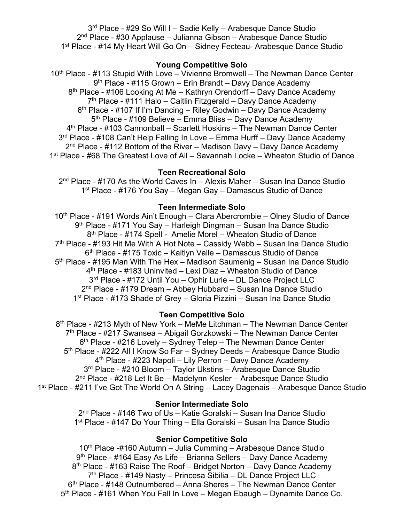3<sup>rd</sup> Place - #29 So Will I - Sadie Kelly - Arabesque Dance Studio 2nd Place - #30 Applause – Julianna Gibson – Arabesque Dance Studio 1st Place - #14 My Heart Will Go On – Sidney Fecteau- Arabesque Dance Studio

### **Young Competitive Solo**

10<sup>th</sup> Place - #113 Stupid With Love – Vivienne Bromwell – The Newman Dance Center 9<sup>th</sup> Place - #115 Grown – Erin Brandt – Davy Dance Academy 8<sup>th</sup> Place - #106 Looking At Me – Kathryn Orendorff – Davy Dance Academy  $7<sup>th</sup>$  Place - #111 Halo – Caitlin Fitzgerald – Davy Dance Academy 6<sup>th</sup> Place - #107 If I'm Dancing – Riley Godwin – Davy Dance Academy 5<sup>th</sup> Place - #109 Believe – Emma Bliss – Davy Dance Academy 4th Place - #103 Cannonball – Scarlett Hoskins – The Newman Dance Center 3<sup>rd</sup> Place - #108 Can't Help Falling In Love – Emma Hurff – Davy Dance Academy  $2<sup>nd</sup>$  Place - #112 Bottom of the River – Madison Davy – Davy Dance Academy 1st Place - #68 The Greatest Love of All – Savannah Locke – Wheaton Studio of Dance

### **Teen Recreational Solo**

 $2<sup>nd</sup>$  Place - #170 As the World Caves In – Alexis Maher – Susan Ina Dance Studio 1st Place - #176 You Say – Megan Gay – Damascus Studio of Dance

#### **Teen Intermediate Solo**

10<sup>th</sup> Place - #191 Words Ain't Enough – Clara Abercrombie – Olney Studio of Dance 9th Place - #171 You Say – Harleigh Dingman – Susan Ina Dance Studio 8th Place - #174 Spell - Amelie Morel – Wheaton Studio of Dance  $7<sup>th</sup>$  Place - #193 Hit Me With A Hot Note – Cassidy Webb – Susan Ina Dance Studio 6th Place - #175 Toxic – Kaitlyn Valle – Damascus Studio of Dance 5<sup>th</sup> Place - #195 Man With The Hex – Madison Saumenig – Susan Ina Dance Studio 4th Place - #183 Uninvited – Lexi Diaz – Wheaton Studio of Dance 3rd Place - #172 Until You – Ophir Lurie – DL Dance Project LLC 2nd Place - #179 Dream – Abbey Hubbard – Susan Ina Dance Studio 1st Place - #173 Shade of Grey – Gloria Pizzini – Susan Ina Dance Studio

### **Teen Competitive Solo**

8<sup>th</sup> Place - #213 Myth of New York – MeMe Litchman – The Newman Dance Center 7th Place - #217 Swansea – Abigail Gorzkowski – The Newman Dance Center  $6<sup>th</sup>$  Place - #216 Lovely – Sydney Telep – The Newman Dance Center 5<sup>th</sup> Place - #222 All I Know So Far – Sydney Deeds – Arabesque Dance Studio 4th Place - #223 Napoli – Lily Perron – Davy Dance Academy 3<sup>rd</sup> Place - #210 Bloom - Taylor Ukstins - Arabesque Dance Studio 2nd Place - #218 Let It Be – Madelynn Kesler – Arabesque Dance Studio 1<sup>st</sup> Place - #211 I've Got The World On A String – Lacey Dagenais – Arabesque Dance Studio

### **Senior Intermediate Solo**

2nd Place - #146 Two of Us – Katie Goralski – Susan Ina Dance Studio 1st Place - #147 Do Your Thing – Ella Goralski – Susan Ina Dance Studio

#### **Senior Competitive Solo**

10<sup>th</sup> Place -#160 Autumn – Julia Cumming – Arabesque Dance Studio 9th Place - #164 Easy As Life – Brianna Sellers – Davy Dance Academy  $8<sup>th</sup>$  Place - #163 Raise The Roof – Bridget Norton – Davy Dance Academy 7th Place - #149 Nasty – Princesa Sibilia – DL Dance Project LLC  $6<sup>th</sup>$  Place - #148 Outnumbered – Anna Sheres – The Newman Dance Center 5<sup>th</sup> Place - #161 When You Fall In Love – Megan Ebaugh – Dynamite Dance Co.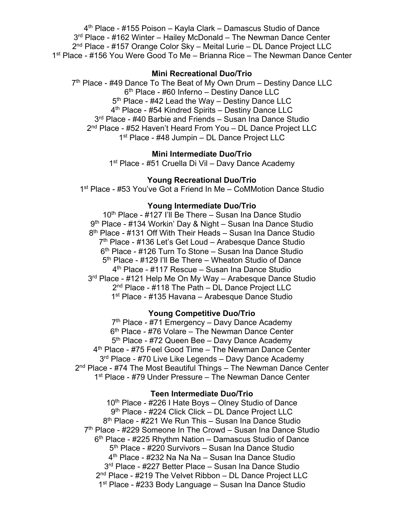4th Place - #155 Poison – Kayla Clark – Damascus Studio of Dance  $3<sup>rd</sup>$  Place - #162 Winter – Hailey McDonald – The Newman Dance Center 2nd Place - #157 Orange Color Sky – Meital Lurie – DL Dance Project LLC 1st Place - #156 You Were Good To Me – Brianna Rice – The Newman Dance Center

### **Mini Recreational Duo/Trio**

7<sup>th</sup> Place - #49 Dance To The Beat of My Own Drum - Destiny Dance LLC  $6<sup>th</sup>$  Place - #60 Inferno – Destiny Dance LLC 5<sup>th</sup> Place - #42 Lead the Way – Destiny Dance LLC 4<sup>th</sup> Place - #54 Kindred Spirits – Destiny Dance LLC 3<sup>rd</sup> Place - #40 Barbie and Friends – Susan Ina Dance Studio 2<sup>nd</sup> Place - #52 Haven't Heard From You - DL Dance Project LLC 1<sup>st</sup> Place - #48 Jumpin – DL Dance Project LLC

#### **Mini Intermediate Duo/Trio**

1<sup>st</sup> Place - #51 Cruella Di Vil – Davy Dance Academy

### **Young Recreational Duo/Trio**

1<sup>st</sup> Place - #53 You've Got a Friend In Me – CoMMotion Dance Studio

### **Young Intermediate Duo/Trio**

10<sup>th</sup> Place - #127 I'll Be There – Susan Ina Dance Studio 9<sup>th</sup> Place - #134 Workin' Day & Night – Susan Ina Dance Studio 8<sup>th</sup> Place - #131 Off With Their Heads – Susan Ina Dance Studio 7<sup>th</sup> Place - #136 Let's Get Loud – Arabesque Dance Studio 6th Place - #126 Turn To Stone – Susan Ina Dance Studio 5th Place - #129 I'll Be There – Wheaton Studio of Dance 4<sup>th</sup> Place - #117 Rescue – Susan Ina Dance Studio 3<sup>rd</sup> Place - #121 Help Me On My Way – Arabesque Dance Studio 2<sup>nd</sup> Place - #118 The Path – DL Dance Project LLC 1<sup>st</sup> Place - #135 Havana – Arabesque Dance Studio

#### **Young Competitive Duo/Trio**

7<sup>th</sup> Place - #71 Emergency – Davy Dance Academy  $6<sup>th</sup>$  Place - #76 Volare – The Newman Dance Center 5<sup>th</sup> Place - #72 Queen Bee – Davy Dance Academy 4<sup>th</sup> Place - #75 Feel Good Time – The Newman Dance Center 3<sup>rd</sup> Place - #70 Live Like Legends - Davy Dance Academy  $2<sup>nd</sup>$  Place - #74 The Most Beautiful Things – The Newman Dance Center 1<sup>st</sup> Place - #79 Under Pressure – The Newman Dance Center

#### **Teen Intermediate Duo/Trio**

10th Place - #226 I Hate Boys – Olney Studio of Dance 9th Place - #224 Click Click – DL Dance Project LLC 8<sup>th</sup> Place - #221 We Run This - Susan Ina Dance Studio  $7<sup>th</sup>$  Place - #229 Someone In The Crowd – Susan Ina Dance Studio  $6<sup>th</sup>$  Place - #225 Rhythm Nation – Damascus Studio of Dance 5<sup>th</sup> Place - #220 Survivors - Susan Ina Dance Studio 4<sup>th</sup> Place - #232 Na Na Na – Susan Ina Dance Studio 3rd Place - #227 Better Place – Susan Ina Dance Studio 2<sup>nd</sup> Place - #219 The Velvet Ribbon - DL Dance Project LLC 1st Place - #233 Body Language – Susan Ina Dance Studio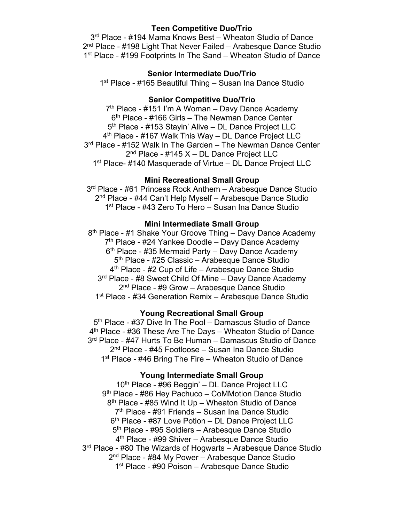### **Teen Competitive Duo/Trio**

3<sup>rd</sup> Place - #194 Mama Knows Best – Wheaton Studio of Dance 2<sup>nd</sup> Place - #198 Light That Never Failed – Arabesque Dance Studio 1<sup>st</sup> Place - #199 Footprints In The Sand – Wheaton Studio of Dance

## **Senior Intermediate Duo/Trio**

1<sup>st</sup> Place - #165 Beautiful Thing – Susan Ina Dance Studio

## **Senior Competitive Duo/Trio**

 $7<sup>th</sup>$  Place - #151 I'm A Woman – Davy Dance Academy  $6<sup>th</sup>$  Place - #166 Girls – The Newman Dance Center 5<sup>th</sup> Place - #153 Stayin' Alive – DL Dance Project LLC 4th Place - #167 Walk This Way – DL Dance Project LLC 3<sup>rd</sup> Place - #152 Walk In The Garden – The Newman Dance Center 2<sup>nd</sup> Place - #145 X - DL Dance Project LLC 1<sup>st</sup> Place- #140 Masquerade of Virtue – DL Dance Project LLC

### **Mini Recreational Small Group**

3rd Place - #61 Princess Rock Anthem – Arabesque Dance Studio 2<sup>nd</sup> Place - #44 Can't Help Myself – Arabesque Dance Studio 1<sup>st</sup> Place - #43 Zero To Hero – Susan Ina Dance Studio

### **Mini Intermediate Small Group**

8<sup>th</sup> Place - #1 Shake Your Groove Thing – Davy Dance Academy  $7<sup>th</sup>$  Place - #24 Yankee Doodle – Davy Dance Academy  $6<sup>th</sup>$  Place - #35 Mermaid Party – Davy Dance Academy 5<sup>th</sup> Place - #25 Classic – Arabesque Dance Studio 4th Place - #2 Cup of Life – Arabesque Dance Studio 3<sup>rd</sup> Place - #8 Sweet Child Of Mine – Davy Dance Academy 2<sup>nd</sup> Place - #9 Grow – Arabesque Dance Studio 1<sup>st</sup> Place - #34 Generation Remix – Arabesque Dance Studio

### **Young Recreational Small Group**

5<sup>th</sup> Place - #37 Dive In The Pool – Damascus Studio of Dance 4th Place - #36 These Are The Days – Wheaton Studio of Dance 3<sup>rd</sup> Place - #47 Hurts To Be Human – Damascus Studio of Dance 2nd Place - #45 Footloose – Susan Ina Dance Studio 1<sup>st</sup> Place - #46 Bring The Fire – Wheaton Studio of Dance

### **Young Intermediate Small Group**

10<sup>th</sup> Place - #96 Beggin' – DL Dance Project LLC 9<sup>th</sup> Place - #86 Hey Pachuco – CoMMotion Dance Studio 8<sup>th</sup> Place - #85 Wind It Up – Wheaton Studio of Dance 7th Place - #91 Friends – Susan Ina Dance Studio 6<sup>th</sup> Place - #87 Love Potion - DL Dance Project LLC 5<sup>th</sup> Place - #95 Soldiers – Arabesque Dance Studio 4th Place - #99 Shiver – Arabesque Dance Studio 3<sup>rd</sup> Place - #80 The Wizards of Hogwarts – Arabesque Dance Studio 2<sup>nd</sup> Place - #84 My Power – Arabesque Dance Studio 1<sup>st</sup> Place - #90 Poison – Arabesque Dance Studio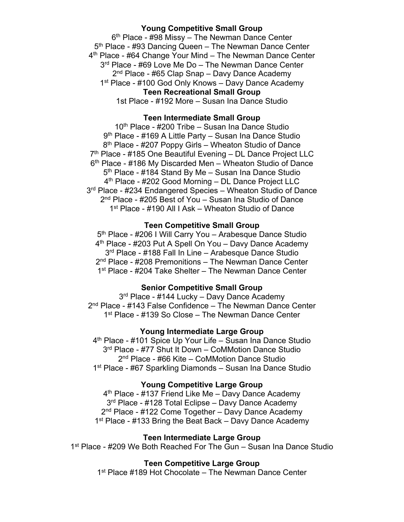### **Young Competitive Small Group**

 $6<sup>th</sup>$  Place - #98 Missy – The Newman Dance Center 5<sup>th</sup> Place - #93 Dancing Queen – The Newman Dance Center 4<sup>th</sup> Place - #64 Change Your Mind – The Newman Dance Center 3<sup>rd</sup> Place - #69 Love Me Do – The Newman Dance Center 2<sup>nd</sup> Place - #65 Clap Snap – Davy Dance Academy 1<sup>st</sup> Place - #100 God Only Knows – Davy Dance Academy **Teen Recreational Small Group**

1st Place - #192 More – Susan Ina Dance Studio

### **Teen Intermediate Small Group**

 $10<sup>th</sup>$  Place - #200 Tribe – Susan Ina Dance Studio 9<sup>th</sup> Place - #169 A Little Party – Susan Ina Dance Studio 8th Place - #207 Poppy Girls – Wheaton Studio of Dance 7<sup>th</sup> Place - #185 One Beautiful Evening - DL Dance Project LLC 6th Place - #186 My Discarded Men – Wheaton Studio of Dance 5<sup>th</sup> Place - #184 Stand By Me – Susan Ina Dance Studio 4th Place - #202 Good Morning – DL Dance Project LLC 3<sup>rd</sup> Place - #234 Endangered Species – Wheaton Studio of Dance 2nd Place - #205 Best of You – Susan Ina Studio of Dance 1st Place - #190 All I Ask – Wheaton Studio of Dance

### **Teen Competitive Small Group**

5<sup>th</sup> Place - #206 I Will Carry You - Arabesque Dance Studio 4<sup>th</sup> Place - #203 Put A Spell On You – Davy Dance Academy 3<sup>rd</sup> Place - #188 Fall In Line – Arabesque Dance Studio 2<sup>nd</sup> Place - #208 Premonitions – The Newman Dance Center 1<sup>st</sup> Place - #204 Take Shelter – The Newman Dance Center

### **Senior Competitive Small Group**

3<sup>rd</sup> Place - #144 Lucky – Davy Dance Academy 2<sup>nd</sup> Place - #143 False Confidence – The Newman Dance Center 1<sup>st</sup> Place - #139 So Close – The Newman Dance Center

### **Young Intermediate Large Group**

4th Place - #101 Spice Up Your Life – Susan Ina Dance Studio 3<sup>rd</sup> Place - #77 Shut It Down – CoMMotion Dance Studio 2<sup>nd</sup> Place - #66 Kite – CoMMotion Dance Studio 1st Place - #67 Sparkling Diamonds – Susan Ina Dance Studio

### **Young Competitive Large Group**

 $4<sup>th</sup>$  Place - #137 Friend Like Me – Davy Dance Academy 3<sup>rd</sup> Place - #128 Total Eclipse – Davy Dance Academy 2<sup>nd</sup> Place - #122 Come Together – Davy Dance Academy 1<sup>st</sup> Place - #133 Bring the Beat Back – Davy Dance Academy

### **Teen Intermediate Large Group**

1<sup>st</sup> Place - #209 We Both Reached For The Gun – Susan Ina Dance Studio

### **Teen Competitive Large Group**

1<sup>st</sup> Place #189 Hot Chocolate – The Newman Dance Center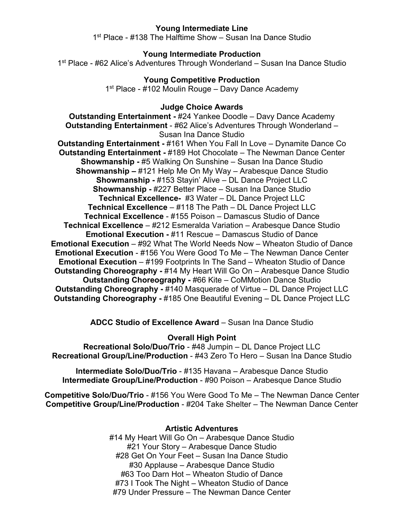## **Young Intermediate Line**

1st Place - #138 The Halftime Show – Susan Ina Dance Studio

### **Young Intermediate Production**

1st Place - #62 Alice's Adventures Through Wonderland – Susan Ina Dance Studio

# **Young Competitive Production**

1<sup>st</sup> Place - #102 Moulin Rouge – Davy Dance Academy

#### **Judge Choice Awards**

**Outstanding Entertainment -** #24 Yankee Doodle – Davy Dance Academy **Outstanding Entertainment** - #62 Alice's Adventures Through Wonderland – Susan Ina Dance Studio

**Outstanding Entertainment -** #161 When You Fall In Love – Dynamite Dance Co **Outstanding Entertainment -** #189 Hot Chocolate – The Newman Dance Center **Showmanship -** #5 Walking On Sunshine – Susan Ina Dance Studio **Showmanship –** #121 Help Me On My Way – Arabesque Dance Studio **Showmanship -** #153 Stayin' Alive – DL Dance Project LLC **Showmanship -** #227 Better Place – Susan Ina Dance Studio **Technical Excellence-** #3 Water – DL Dance Project LLC **Technical Excellence** – #118 The Path – DL Dance Project LLC **Technical Excellence** - #155 Poison – Damascus Studio of Dance **Technical Excellence** – #212 Esmeralda Variation – Arabesque Dance Studio **Emotional Execution -** #11 Rescue – Damascus Studio of Dance **Emotional Execution** – #92 What The World Needs Now – Wheaton Studio of Dance **Emotional Execution** - #156 You Were Good To Me – The Newman Dance Center **Emotional Execution** – #199 Footprints In The Sand – Wheaton Studio of Dance **Outstanding Choreography -** #14 My Heart Will Go On – Arabesque Dance Studio **Outstanding Choreography -** #66 Kite – CoMMotion Dance Studio **Outstanding Choreography -** #140 Masquerade of Virtue – DL Dance Project LLC **Outstanding Choreography -** #185 One Beautiful Evening – DL Dance Project LLC

**ADCC Studio of Excellence Award** – Susan Ina Dance Studio

**Overall High Point**

**Recreational Solo/Duo/Trio** - #48 Jumpin – DL Dance Project LLC **Recreational Group/Line/Production** - #43 Zero To Hero – Susan Ina Dance Studio

**Intermediate Solo/Duo/Trio** - #135 Havana – Arabesque Dance Studio **Intermediate Group/Line/Production - #90 Poison – Arabesque Dance Studio** 

**Competitive Solo/Duo/Trio** - #156 You Were Good To Me – The Newman Dance Center **Competitive Group/Line/Production** - #204 Take Shelter – The Newman Dance Center

## **Artistic Adventures**

#14 My Heart Will Go On – Arabesque Dance Studio #21 Your Story – Arabesque Dance Studio #28 Get On Your Feet – Susan Ina Dance Studio #30 Applause – Arabesque Dance Studio #63 Too Darn Hot – Wheaton Studio of Dance #73 I Took The Night – Wheaton Studio of Dance #79 Under Pressure – The Newman Dance Center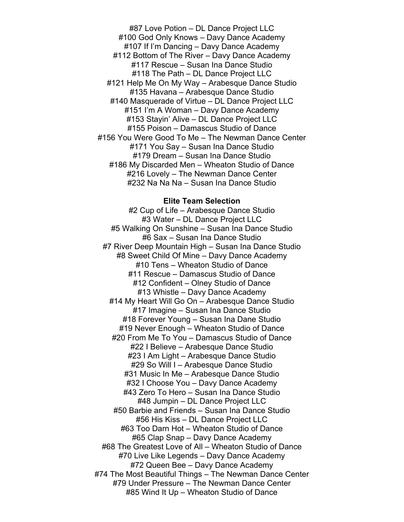#87 Love Potion – DL Dance Project LLC #100 God Only Knows – Davy Dance Academy #107 If I'm Dancing – Davy Dance Academy #112 Bottom of The River – Davy Dance Academy #117 Rescue – Susan Ina Dance Studio #118 The Path – DL Dance Project LLC #121 Help Me On My Way – Arabesque Dance Studio #135 Havana – Arabesque Dance Studio #140 Masquerade of Virtue – DL Dance Project LLC #151 I'm A Woman – Davy Dance Academy #153 Stayin' Alive – DL Dance Project LLC #155 Poison – Damascus Studio of Dance #156 You Were Good To Me – The Newman Dance Center #171 You Say – Susan Ina Dance Studio #179 Dream – Susan Ina Dance Studio #186 My Discarded Men – Wheaton Studio of Dance #216 Lovely – The Newman Dance Center #232 Na Na Na – Susan Ina Dance Studio

#### **Elite Team Selection**

#2 Cup of Life – Arabesque Dance Studio #3 Water – DL Dance Project LLC #5 Walking On Sunshine – Susan Ina Dance Studio #6 Sax – Susan Ina Dance Studio #7 River Deep Mountain High – Susan Ina Dance Studio #8 Sweet Child Of Mine – Davy Dance Academy #10 Tens – Wheaton Studio of Dance #11 Rescue – Damascus Studio of Dance #12 Confident – Olney Studio of Dance #13 Whistle – Davy Dance Academy #14 My Heart Will Go On – Arabesque Dance Studio #17 Imagine – Susan Ina Dance Studio #18 Forever Young – Susan Ina Dane Studio #19 Never Enough – Wheaton Studio of Dance #20 From Me To You – Damascus Studio of Dance #22 I Believe – Arabesque Dance Studio #23 I Am Light – Arabesque Dance Studio #29 So Will I – Arabesque Dance Studio #31 Music In Me – Arabesque Dance Studio #32 I Choose You – Davy Dance Academy #43 Zero To Hero – Susan Ina Dance Studio #48 Jumpin – DL Dance Project LLC #50 Barbie and Friends – Susan Ina Dance Studio #56 His Kiss – DL Dance Project LLC #63 Too Darn Hot – Wheaton Studio of Dance #65 Clap Snap – Davy Dance Academy #68 The Greatest Love of All – Wheaton Studio of Dance #70 Live Like Legends – Davy Dance Academy #72 Queen Bee – Davy Dance Academy #74 The Most Beautiful Things – The Newman Dance Center #79 Under Pressure – The Newman Dance Center #85 Wind It Up – Wheaton Studio of Dance